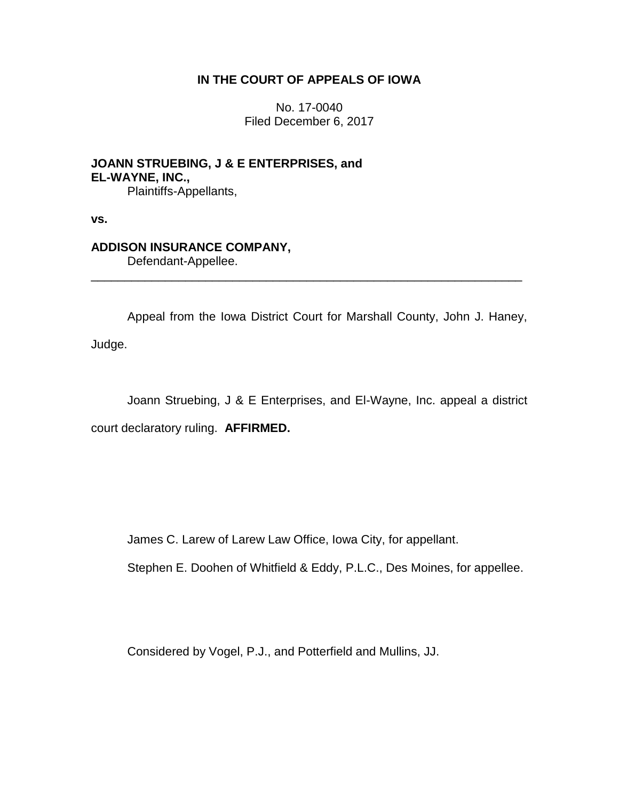## **IN THE COURT OF APPEALS OF IOWA**

No. 17-0040 Filed December 6, 2017

**JOANN STRUEBING, J & E ENTERPRISES, and EL-WAYNE, INC.,** Plaintiffs-Appellants,

**vs.**

## **ADDISON INSURANCE COMPANY,**

Defendant-Appellee.

Appeal from the Iowa District Court for Marshall County, John J. Haney, Judge.

\_\_\_\_\_\_\_\_\_\_\_\_\_\_\_\_\_\_\_\_\_\_\_\_\_\_\_\_\_\_\_\_\_\_\_\_\_\_\_\_\_\_\_\_\_\_\_\_\_\_\_\_\_\_\_\_\_\_\_\_\_\_\_\_

Joann Struebing, J & E Enterprises, and El-Wayne, Inc. appeal a district court declaratory ruling. **AFFIRMED.**

James C. Larew of Larew Law Office, Iowa City, for appellant.

Stephen E. Doohen of Whitfield & Eddy, P.L.C., Des Moines, for appellee.

Considered by Vogel, P.J., and Potterfield and Mullins, JJ.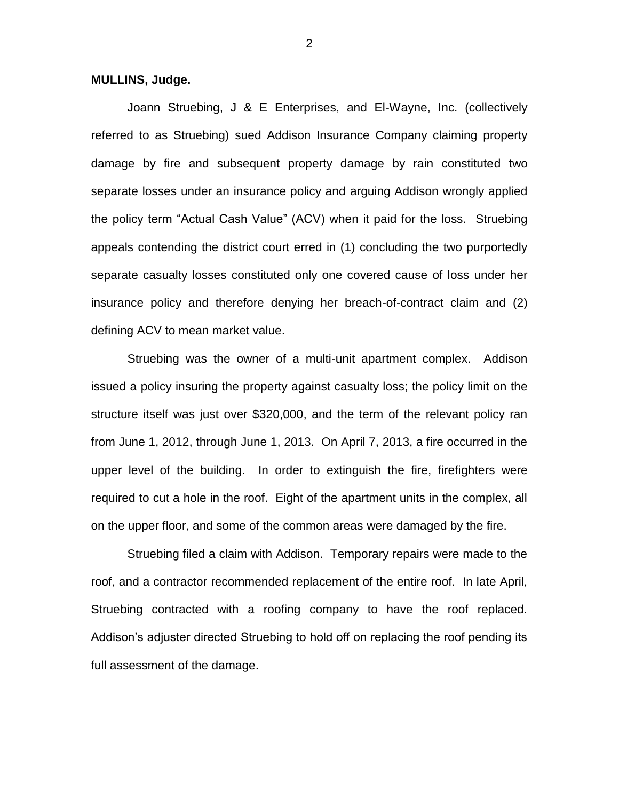## **MULLINS, Judge.**

Joann Struebing, J & E Enterprises, and El-Wayne, Inc. (collectively referred to as Struebing) sued Addison Insurance Company claiming property damage by fire and subsequent property damage by rain constituted two separate losses under an insurance policy and arguing Addison wrongly applied the policy term "Actual Cash Value" (ACV) when it paid for the loss. Struebing appeals contending the district court erred in (1) concluding the two purportedly separate casualty losses constituted only one covered cause of loss under her insurance policy and therefore denying her breach-of-contract claim and (2) defining ACV to mean market value.

Struebing was the owner of a multi-unit apartment complex. Addison issued a policy insuring the property against casualty loss; the policy limit on the structure itself was just over \$320,000, and the term of the relevant policy ran from June 1, 2012, through June 1, 2013. On April 7, 2013, a fire occurred in the upper level of the building. In order to extinguish the fire, firefighters were required to cut a hole in the roof. Eight of the apartment units in the complex, all on the upper floor, and some of the common areas were damaged by the fire.

Struebing filed a claim with Addison. Temporary repairs were made to the roof, and a contractor recommended replacement of the entire roof. In late April, Struebing contracted with a roofing company to have the roof replaced. Addison's adjuster directed Struebing to hold off on replacing the roof pending its full assessment of the damage.

2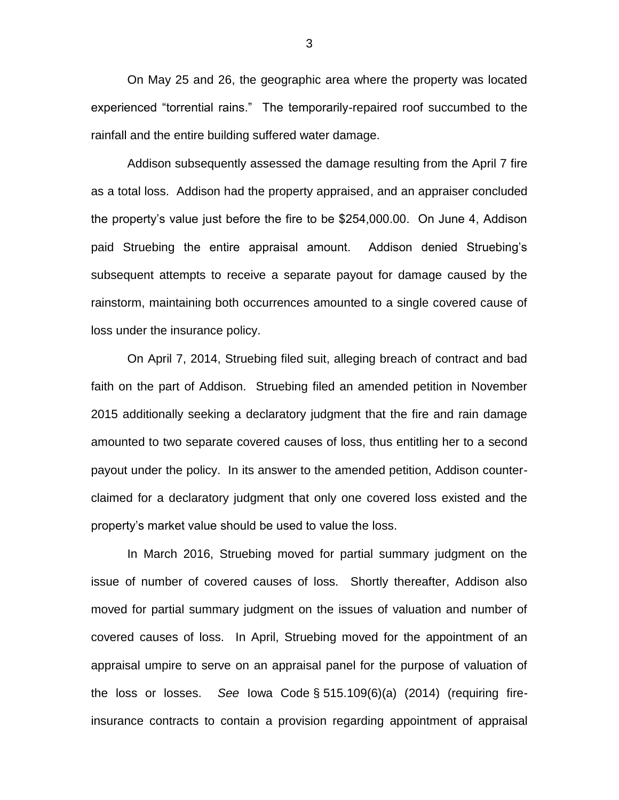On May 25 and 26, the geographic area where the property was located experienced "torrential rains." The temporarily-repaired roof succumbed to the rainfall and the entire building suffered water damage.

Addison subsequently assessed the damage resulting from the April 7 fire as a total loss. Addison had the property appraised, and an appraiser concluded the property's value just before the fire to be \$254,000.00. On June 4, Addison paid Struebing the entire appraisal amount. Addison denied Struebing's subsequent attempts to receive a separate payout for damage caused by the rainstorm, maintaining both occurrences amounted to a single covered cause of loss under the insurance policy.

On April 7, 2014, Struebing filed suit, alleging breach of contract and bad faith on the part of Addison. Struebing filed an amended petition in November 2015 additionally seeking a declaratory judgment that the fire and rain damage amounted to two separate covered causes of loss, thus entitling her to a second payout under the policy. In its answer to the amended petition, Addison counterclaimed for a declaratory judgment that only one covered loss existed and the property's market value should be used to value the loss.

In March 2016, Struebing moved for partial summary judgment on the issue of number of covered causes of loss. Shortly thereafter, Addison also moved for partial summary judgment on the issues of valuation and number of covered causes of loss. In April, Struebing moved for the appointment of an appraisal umpire to serve on an appraisal panel for the purpose of valuation of the loss or losses. *See* Iowa Code § 515.109(6)(a) (2014) (requiring fireinsurance contracts to contain a provision regarding appointment of appraisal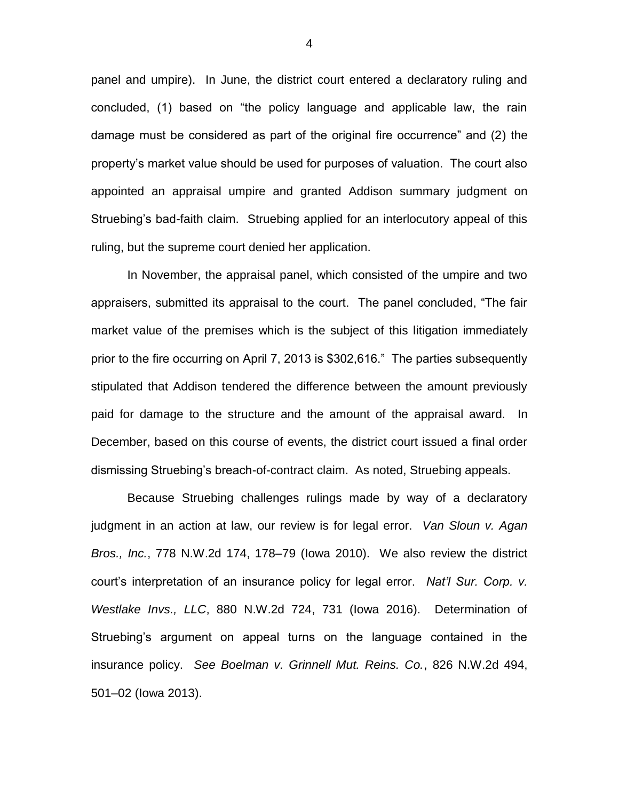panel and umpire). In June, the district court entered a declaratory ruling and concluded, (1) based on "the policy language and applicable law, the rain damage must be considered as part of the original fire occurrence" and (2) the property's market value should be used for purposes of valuation. The court also appointed an appraisal umpire and granted Addison summary judgment on Struebing's bad-faith claim. Struebing applied for an interlocutory appeal of this ruling, but the supreme court denied her application.

In November, the appraisal panel, which consisted of the umpire and two appraisers, submitted its appraisal to the court. The panel concluded, "The fair market value of the premises which is the subject of this litigation immediately prior to the fire occurring on April 7, 2013 is \$302,616." The parties subsequently stipulated that Addison tendered the difference between the amount previously paid for damage to the structure and the amount of the appraisal award. In December, based on this course of events, the district court issued a final order dismissing Struebing's breach-of-contract claim. As noted, Struebing appeals.

Because Struebing challenges rulings made by way of a declaratory judgment in an action at law, our review is for legal error. *Van Sloun v. Agan Bros., Inc.*, 778 N.W.2d 174, 178–79 (Iowa 2010). We also review the district court's interpretation of an insurance policy for legal error. *Nat'l Sur. Corp. v. Westlake Invs., LLC*, 880 N.W.2d 724, 731 (Iowa 2016). Determination of Struebing's argument on appeal turns on the language contained in the insurance policy. *See Boelman v. Grinnell Mut. Reins. Co.*, 826 N.W.2d 494, 501–02 (Iowa 2013).

4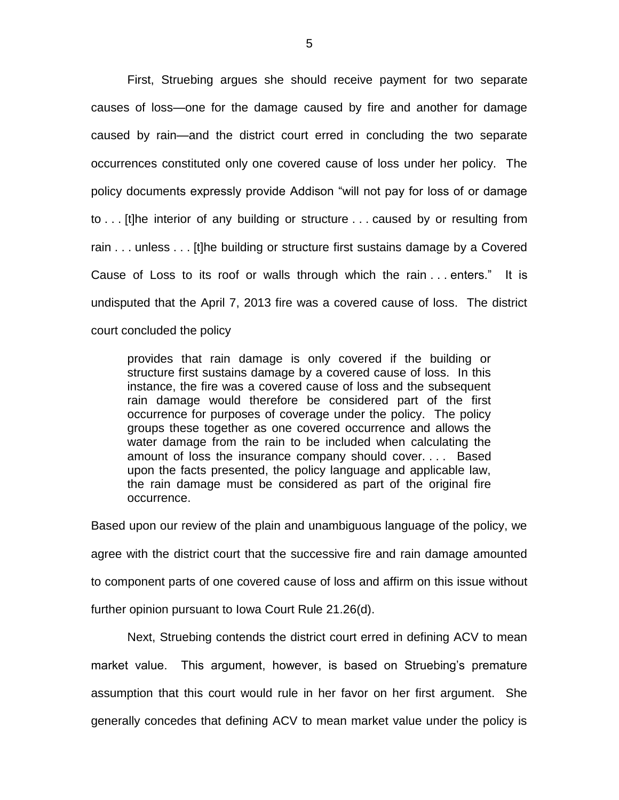First, Struebing argues she should receive payment for two separate causes of loss—one for the damage caused by fire and another for damage caused by rain—and the district court erred in concluding the two separate occurrences constituted only one covered cause of loss under her policy. The policy documents expressly provide Addison "will not pay for loss of or damage to . . . [t]he interior of any building or structure . . . caused by or resulting from rain . . . unless . . . [t]he building or structure first sustains damage by a Covered Cause of Loss to its roof or walls through which the rain . . . enters." It is undisputed that the April 7, 2013 fire was a covered cause of loss. The district court concluded the policy

provides that rain damage is only covered if the building or structure first sustains damage by a covered cause of loss. In this instance, the fire was a covered cause of loss and the subsequent rain damage would therefore be considered part of the first occurrence for purposes of coverage under the policy. The policy groups these together as one covered occurrence and allows the water damage from the rain to be included when calculating the amount of loss the insurance company should cover. . . . Based upon the facts presented, the policy language and applicable law, the rain damage must be considered as part of the original fire occurrence.

Based upon our review of the plain and unambiguous language of the policy, we agree with the district court that the successive fire and rain damage amounted to component parts of one covered cause of loss and affirm on this issue without further opinion pursuant to Iowa Court Rule 21.26(d).

Next, Struebing contends the district court erred in defining ACV to mean market value. This argument, however, is based on Struebing's premature assumption that this court would rule in her favor on her first argument. She generally concedes that defining ACV to mean market value under the policy is